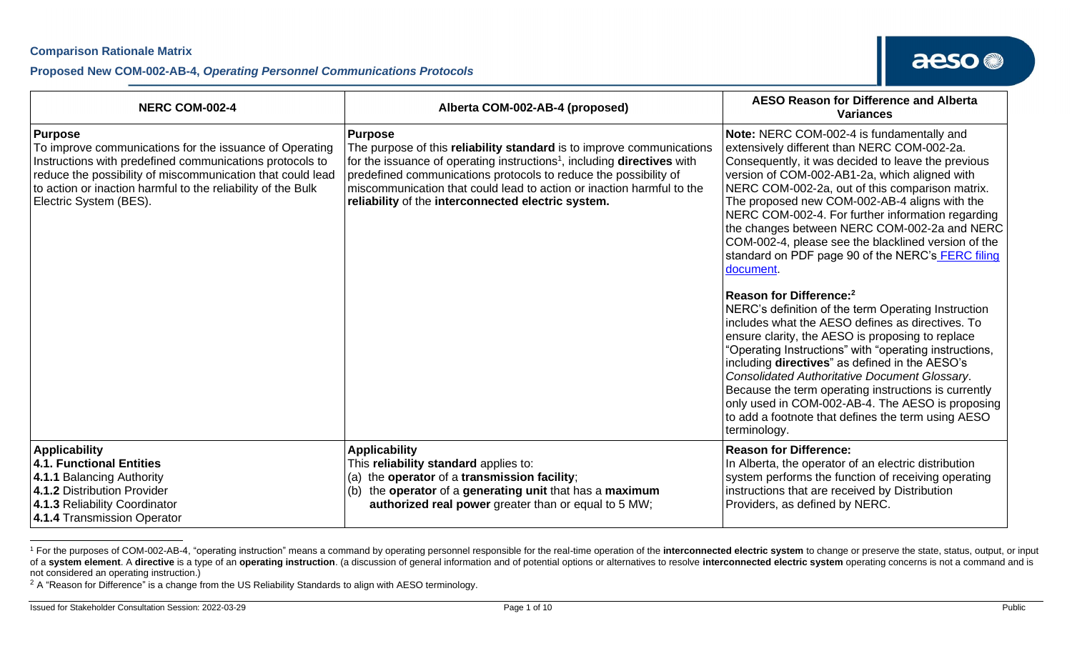#### **Proposed New COM-002-AB-4,** *Operating Personnel Communications Protocols*

| <b>NERC COM-002-4</b>                                                                                                                                                                                                                                                                  | Alberta COM-002-AB-4 (proposed)                                                                                                                                                                                                                                                                                                                                                   | <b>AESO Reason for Difference and Alberta</b><br><b>Variances</b>                                                                                                                                                                                                                                                                                                                                                                                                                                                                                                                                                                                                                                                                                                                                                                                                                                                                                                                                                                                                                    |
|----------------------------------------------------------------------------------------------------------------------------------------------------------------------------------------------------------------------------------------------------------------------------------------|-----------------------------------------------------------------------------------------------------------------------------------------------------------------------------------------------------------------------------------------------------------------------------------------------------------------------------------------------------------------------------------|--------------------------------------------------------------------------------------------------------------------------------------------------------------------------------------------------------------------------------------------------------------------------------------------------------------------------------------------------------------------------------------------------------------------------------------------------------------------------------------------------------------------------------------------------------------------------------------------------------------------------------------------------------------------------------------------------------------------------------------------------------------------------------------------------------------------------------------------------------------------------------------------------------------------------------------------------------------------------------------------------------------------------------------------------------------------------------------|
| Purpose<br>To improve communications for the issuance of Operating<br>Instructions with predefined communications protocols to<br>reduce the possibility of miscommunication that could lead<br>to action or inaction harmful to the reliability of the Bulk<br>Electric System (BES). | <b>Purpose</b><br>The purpose of this reliability standard is to improve communications<br>for the issuance of operating instructions <sup>1</sup> , including directives with<br>predefined communications protocols to reduce the possibility of<br>miscommunication that could lead to action or inaction harmful to the<br>reliability of the interconnected electric system. | Note: NERC COM-002-4 is fundamentally and<br>extensively different than NERC COM-002-2a.<br>Consequently, it was decided to leave the previous<br>version of COM-002-AB1-2a, which aligned with<br>NERC COM-002-2a, out of this comparison matrix.<br>The proposed new COM-002-AB-4 aligns with the<br>NERC COM-002-4. For further information regarding<br>the changes between NERC COM-002-2a and NERC<br>COM-002-4, please see the blacklined version of the<br>standard on PDF page 90 of the NERC's FERC filing<br>document.<br>Reason for Difference: $2$<br>NERC's definition of the term Operating Instruction<br>Includes what the AESO defines as directives. To<br>ensure clarity, the AESO is proposing to replace<br>"Operating Instructions" with "operating instructions,<br>including directives" as defined in the AESO's<br><b>Consolidated Authoritative Document Glossary.</b><br>Because the term operating instructions is currently<br>only used in COM-002-AB-4. The AESO is proposing<br>to add a footnote that defines the term using AESO<br>terminology. |
| <b>Applicability</b><br>4.1. Functional Entities<br>4.1.1 Balancing Authority<br>4.1.2 Distribution Provider<br>4.1.3 Reliability Coordinator<br>4.1.4 Transmission Operator                                                                                                           | <b>Applicability</b><br>This reliability standard applies to:<br>(a) the operator of a transmission facility;<br>(b) the operator of a generating unit that has a maximum<br>authorized real power greater than or equal to 5 MW;                                                                                                                                                 | <b>Reason for Difference:</b><br>In Alberta, the operator of an electric distribution<br>system performs the function of receiving operating<br>instructions that are received by Distribution<br>Providers, as defined by NERC.                                                                                                                                                                                                                                                                                                                                                                                                                                                                                                                                                                                                                                                                                                                                                                                                                                                     |

<sup>&</sup>lt;sup>1</sup> For the purposes of COM-002-AB-4, "operating instruction" means a command by operating personnel responsible for the real-time operation of the interconnected electric system to change or preserve the state, status, ou of a system element. A directive is a type of an operating instruction. (a discussion of general information and of potential options or alternatives to resolve interconnected electric system operating concerns is not a co not considered an operating instruction.)

<sup>2</sup> A "Reason for Difference" is a change from the US Reliability Standards to align with AESO terminology.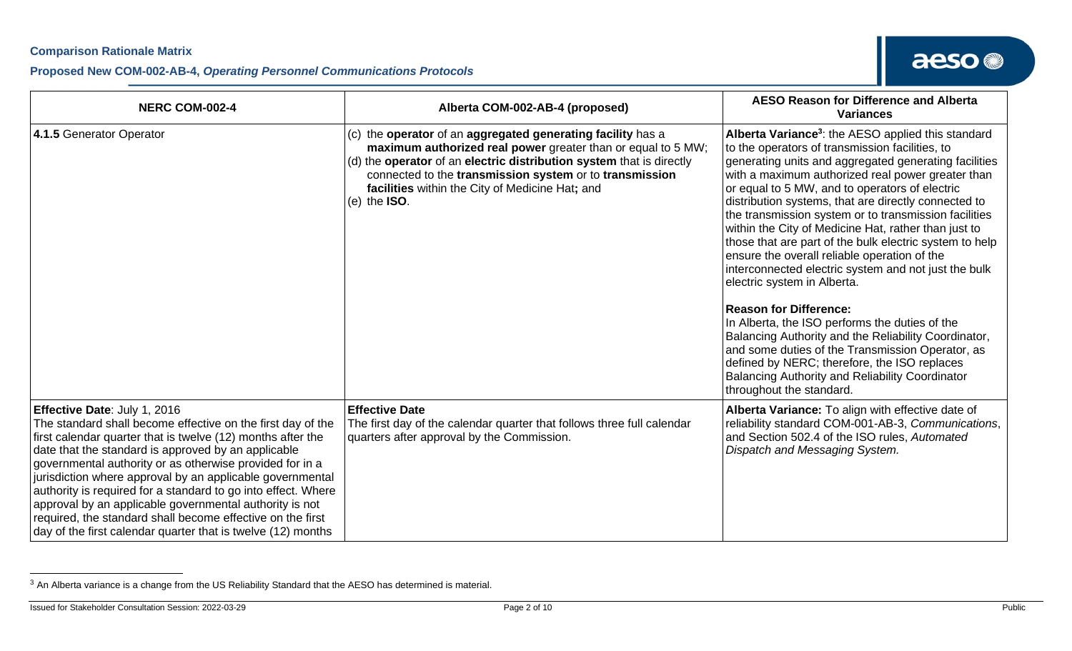#### **Proposed New COM-002-AB-4,** *Operating Personnel Communications Protocols*

| <b>NERC COM-002-4</b>                                                                                                                                                                                                                                                                                                                                                                                                                                                                                                                                                                                | Alberta COM-002-AB-4 (proposed)                                                                                                                                                                                                                                                                                                       | <b>AESO Reason for Difference and Alberta</b><br><b>Variances</b>                                                                                                                                                                                                                                                                                                                                                                                                                                                                                                                                                                                                                                                                                                                                                                                                                                                                                                                                 |
|------------------------------------------------------------------------------------------------------------------------------------------------------------------------------------------------------------------------------------------------------------------------------------------------------------------------------------------------------------------------------------------------------------------------------------------------------------------------------------------------------------------------------------------------------------------------------------------------------|---------------------------------------------------------------------------------------------------------------------------------------------------------------------------------------------------------------------------------------------------------------------------------------------------------------------------------------|---------------------------------------------------------------------------------------------------------------------------------------------------------------------------------------------------------------------------------------------------------------------------------------------------------------------------------------------------------------------------------------------------------------------------------------------------------------------------------------------------------------------------------------------------------------------------------------------------------------------------------------------------------------------------------------------------------------------------------------------------------------------------------------------------------------------------------------------------------------------------------------------------------------------------------------------------------------------------------------------------|
| 4.1.5 Generator Operator                                                                                                                                                                                                                                                                                                                                                                                                                                                                                                                                                                             | (c) the operator of an aggregated generating facility has a<br>maximum authorized real power greater than or equal to 5 MW;<br>(d) the operator of an electric distribution system that is directly<br>connected to the transmission system or to transmission<br>facilities within the City of Medicine Hat; and<br>$(e)$ the $ISO.$ | Alberta Variance <sup>3</sup> : the AESO applied this standard<br>to the operators of transmission facilities, to<br>generating units and aggregated generating facilities<br>with a maximum authorized real power greater than<br>or equal to 5 MW, and to operators of electric<br>distribution systems, that are directly connected to<br>the transmission system or to transmission facilities<br>within the City of Medicine Hat, rather than just to<br>those that are part of the bulk electric system to help<br>ensure the overall reliable operation of the<br>interconnected electric system and not just the bulk<br>electric system in Alberta.<br><b>Reason for Difference:</b><br>In Alberta, the ISO performs the duties of the<br>Balancing Authority and the Reliability Coordinator,<br>and some duties of the Transmission Operator, as<br>defined by NERC; therefore, the ISO replaces<br><b>Balancing Authority and Reliability Coordinator</b><br>throughout the standard. |
| Effective Date: July 1, 2016<br>The standard shall become effective on the first day of the<br>first calendar quarter that is twelve (12) months after the<br>date that the standard is approved by an applicable<br>governmental authority or as otherwise provided for in a<br>jurisdiction where approval by an applicable governmental<br>authority is required for a standard to go into effect. Where<br>approval by an applicable governmental authority is not<br>required, the standard shall become effective on the first<br>day of the first calendar quarter that is twelve (12) months | <b>Effective Date</b><br>The first day of the calendar quarter that follows three full calendar<br>quarters after approval by the Commission.                                                                                                                                                                                         | Alberta Variance: To align with effective date of<br>reliability standard COM-001-AB-3, Communications,<br>and Section 502.4 of the ISO rules, Automated<br>Dispatch and Messaging System.                                                                                                                                                                                                                                                                                                                                                                                                                                                                                                                                                                                                                                                                                                                                                                                                        |

<sup>3</sup> An Alberta variance is a change from the US Reliability Standard that the AESO has determined is material.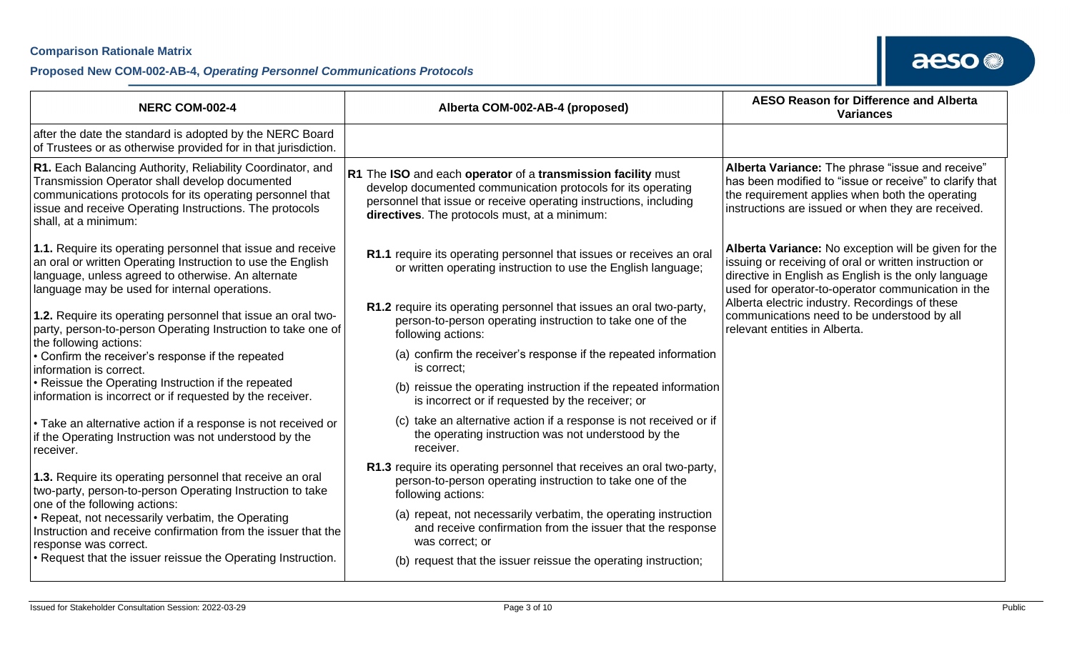| <b>NERC COM-002-4</b>                                                                                                                                                                                                                                        | Alberta COM-002-AB-4 (proposed)                                                                                                                                                                                                                    | <b>AESO Reason for Difference and Alberta</b><br><b>Variances</b>                                                                                                                                                            |
|--------------------------------------------------------------------------------------------------------------------------------------------------------------------------------------------------------------------------------------------------------------|----------------------------------------------------------------------------------------------------------------------------------------------------------------------------------------------------------------------------------------------------|------------------------------------------------------------------------------------------------------------------------------------------------------------------------------------------------------------------------------|
| after the date the standard is adopted by the NERC Board<br>of Trustees or as otherwise provided for in that jurisdiction.                                                                                                                                   |                                                                                                                                                                                                                                                    |                                                                                                                                                                                                                              |
| R1. Each Balancing Authority, Reliability Coordinator, and<br>Transmission Operator shall develop documented<br>communications protocols for its operating personnel that<br>issue and receive Operating Instructions. The protocols<br>shall, at a minimum: | R1 The ISO and each operator of a transmission facility must<br>develop documented communication protocols for its operating<br>personnel that issue or receive operating instructions, including<br>directives. The protocols must, at a minimum: | Alberta Variance: The phrase "issue and receive"<br>has been modified to "issue or receive" to clarify that<br>the requirement applies when both the operating<br>instructions are issued or when they are received.         |
| 1.1. Require its operating personnel that issue and receive<br>an oral or written Operating Instruction to use the English<br>language, unless agreed to otherwise. An alternate<br>language may be used for internal operations.                            | R1.1 require its operating personnel that issues or receives an oral<br>or written operating instruction to use the English language;                                                                                                              | Alberta Variance: No exception will be given for the<br>issuing or receiving of oral or written instruction or<br>directive in English as English is the only language<br>used for operator-to-operator communication in the |
| 1.2. Require its operating personnel that issue an oral two-<br>party, person-to-person Operating Instruction to take one of<br>the following actions:                                                                                                       | R1.2 require its operating personnel that issues an oral two-party,<br>person-to-person operating instruction to take one of the<br>following actions:                                                                                             | Alberta electric industry. Recordings of these<br>communications need to be understood by all<br>relevant entities in Alberta.                                                                                               |
| • Confirm the receiver's response if the repeated<br>information is correct.                                                                                                                                                                                 | (a) confirm the receiver's response if the repeated information<br>is correct;                                                                                                                                                                     |                                                                                                                                                                                                                              |
| • Reissue the Operating Instruction if the repeated<br>information is incorrect or if requested by the receiver.                                                                                                                                             | (b) reissue the operating instruction if the repeated information<br>is incorrect or if requested by the receiver; or                                                                                                                              |                                                                                                                                                                                                                              |
| • Take an alternative action if a response is not received or<br>if the Operating Instruction was not understood by the<br>receiver.                                                                                                                         | (c) take an alternative action if a response is not received or if<br>the operating instruction was not understood by the<br>receiver.                                                                                                             |                                                                                                                                                                                                                              |
| 1.3. Require its operating personnel that receive an oral<br>two-party, person-to-person Operating Instruction to take<br>one of the following actions:                                                                                                      | R1.3 require its operating personnel that receives an oral two-party,<br>person-to-person operating instruction to take one of the<br>following actions:                                                                                           |                                                                                                                                                                                                                              |
| • Repeat, not necessarily verbatim, the Operating<br>Instruction and receive confirmation from the issuer that the<br>response was correct.                                                                                                                  | (a) repeat, not necessarily verbatim, the operating instruction<br>and receive confirmation from the issuer that the response<br>was correct; or                                                                                                   |                                                                                                                                                                                                                              |
| • Request that the issuer reissue the Operating Instruction.                                                                                                                                                                                                 | (b) request that the issuer reissue the operating instruction;                                                                                                                                                                                     |                                                                                                                                                                                                                              |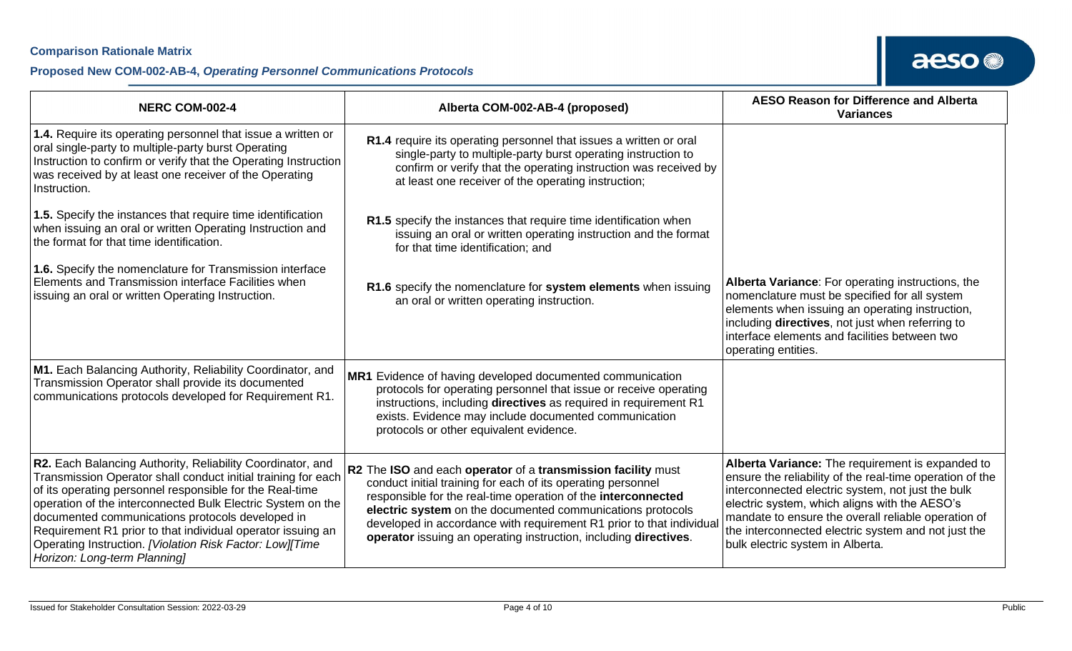### **Proposed New COM-002-AB-4,** *Operating Personnel Communications Protocols*

| <b>NERC COM-002-4</b>                                                                                                                                                                                                                                                                                                                                                                                                                                                 | Alberta COM-002-AB-4 (proposed)                                                                                                                                                                                                                                                                                                                                                                        | <b>AESO Reason for Difference and Alberta</b><br><b>Variances</b>                                                                                                                                                                                                                                                                                                    |
|-----------------------------------------------------------------------------------------------------------------------------------------------------------------------------------------------------------------------------------------------------------------------------------------------------------------------------------------------------------------------------------------------------------------------------------------------------------------------|--------------------------------------------------------------------------------------------------------------------------------------------------------------------------------------------------------------------------------------------------------------------------------------------------------------------------------------------------------------------------------------------------------|----------------------------------------------------------------------------------------------------------------------------------------------------------------------------------------------------------------------------------------------------------------------------------------------------------------------------------------------------------------------|
| 1.4. Require its operating personnel that issue a written or<br>oral single-party to multiple-party burst Operating<br>Instruction to confirm or verify that the Operating Instruction<br>was received by at least one receiver of the Operating<br>Instruction.                                                                                                                                                                                                      | R1.4 require its operating personnel that issues a written or oral<br>single-party to multiple-party burst operating instruction to<br>confirm or verify that the operating instruction was received by<br>at least one receiver of the operating instruction;                                                                                                                                         |                                                                                                                                                                                                                                                                                                                                                                      |
| 1.5. Specify the instances that require time identification<br>when issuing an oral or written Operating Instruction and<br>the format for that time identification.                                                                                                                                                                                                                                                                                                  | R1.5 specify the instances that require time identification when<br>issuing an oral or written operating instruction and the format<br>for that time identification; and                                                                                                                                                                                                                               |                                                                                                                                                                                                                                                                                                                                                                      |
| 1.6. Specify the nomenclature for Transmission interface<br>Elements and Transmission interface Facilities when<br>issuing an oral or written Operating Instruction.                                                                                                                                                                                                                                                                                                  | R1.6 specify the nomenclature for system elements when issuing<br>an oral or written operating instruction.                                                                                                                                                                                                                                                                                            | Alberta Variance: For operating instructions, the<br>nomenclature must be specified for all system<br>elements when issuing an operating instruction,<br>including directives, not just when referring to<br>interface elements and facilities between two<br>operating entities.                                                                                    |
| M1. Each Balancing Authority, Reliability Coordinator, and<br>Transmission Operator shall provide its documented<br>communications protocols developed for Requirement R1.                                                                                                                                                                                                                                                                                            | MR1 Evidence of having developed documented communication<br>protocols for operating personnel that issue or receive operating<br>instructions, including directives as required in requirement R1<br>exists. Evidence may include documented communication<br>protocols or other equivalent evidence.                                                                                                 |                                                                                                                                                                                                                                                                                                                                                                      |
| R2. Each Balancing Authority, Reliability Coordinator, and<br>Transmission Operator shall conduct initial training for each<br>of its operating personnel responsible for the Real-time<br>operation of the interconnected Bulk Electric System on the<br>documented communications protocols developed in<br>Requirement R1 prior to that individual operator issuing an<br>Operating Instruction. [Violation Risk Factor: Low][Time<br>Horizon: Long-term Planning] | R2 The ISO and each operator of a transmission facility must<br>conduct initial training for each of its operating personnel<br>responsible for the real-time operation of the interconnected<br>electric system on the documented communications protocols<br>developed in accordance with requirement R1 prior to that individua<br>operator issuing an operating instruction, including directives. | Alberta Variance: The requirement is expanded to<br>ensure the reliability of the real-time operation of the<br>interconnected electric system, not just the bulk<br>electric system, which aligns with the AESO's<br>mandate to ensure the overall reliable operation of<br>the interconnected electric system and not just the<br>bulk electric system in Alberta. |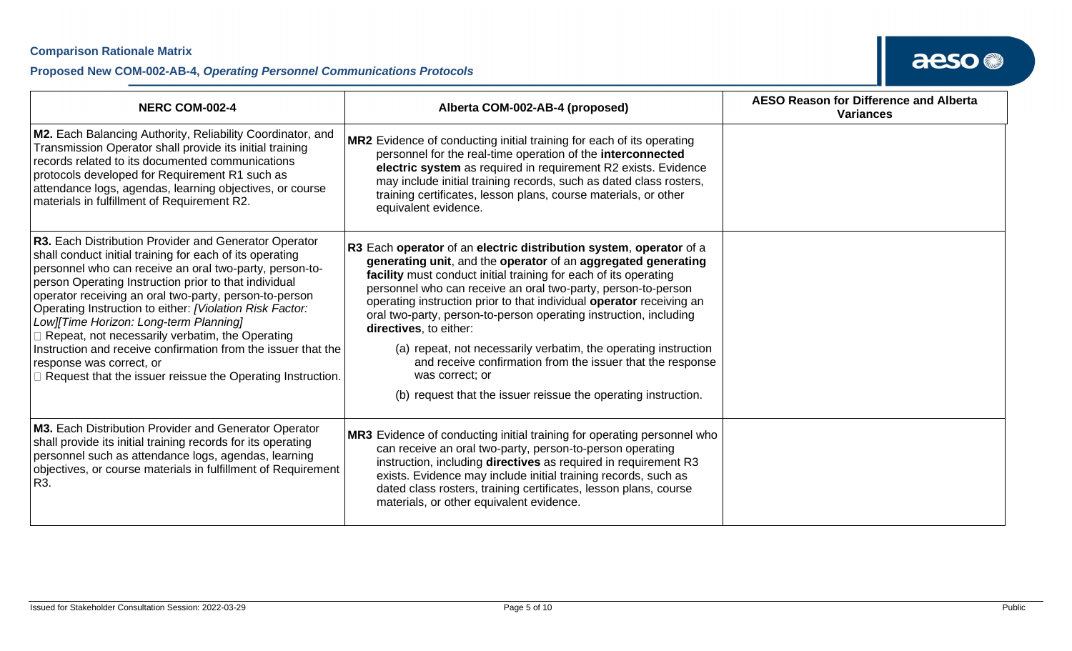| <b>NERC COM-002-4</b>                                                                                                                                                                                                                                                                                                                                                                                                                                                                                                                                                                                               | Alberta COM-002-AB-4 (proposed)                                                                                                                                                                                                                                                                                                                                                                                                                                                                                                                                                                                                                                       | <b>AESO Reason for Difference and Alberta</b><br><b>Variances</b> |
|---------------------------------------------------------------------------------------------------------------------------------------------------------------------------------------------------------------------------------------------------------------------------------------------------------------------------------------------------------------------------------------------------------------------------------------------------------------------------------------------------------------------------------------------------------------------------------------------------------------------|-----------------------------------------------------------------------------------------------------------------------------------------------------------------------------------------------------------------------------------------------------------------------------------------------------------------------------------------------------------------------------------------------------------------------------------------------------------------------------------------------------------------------------------------------------------------------------------------------------------------------------------------------------------------------|-------------------------------------------------------------------|
| M2. Each Balancing Authority, Reliability Coordinator, and<br>Transmission Operator shall provide its initial training<br>records related to its documented communications<br>protocols developed for Requirement R1 such as<br>attendance logs, agendas, learning objectives, or course<br>materials in fulfillment of Requirement R2.                                                                                                                                                                                                                                                                             | MR2 Evidence of conducting initial training for each of its operating<br>personnel for the real-time operation of the interconnected<br>electric system as required in requirement R2 exists. Evidence<br>may include initial training records, such as dated class rosters,<br>training certificates, lesson plans, course materials, or other<br>equivalent evidence.                                                                                                                                                                                                                                                                                               |                                                                   |
| R3. Each Distribution Provider and Generator Operator<br>shall conduct initial training for each of its operating<br>personnel who can receive an oral two-party, person-to-<br>person Operating Instruction prior to that individual<br>operator receiving an oral two-party, person-to-person<br>Operating Instruction to either: [Violation Risk Factor:<br>Low][Time Horizon: Long-term Planning]<br>Repeat, not necessarily verbatim, the Operating<br>Instruction and receive confirmation from the issuer that the<br>response was correct, or<br>Request that the issuer reissue the Operating Instruction. | R3 Each operator of an electric distribution system, operator of a<br>generating unit, and the operator of an aggregated generating<br>facility must conduct initial training for each of its operating<br>personnel who can receive an oral two-party, person-to-person<br>operating instruction prior to that individual operator receiving an<br>oral two-party, person-to-person operating instruction, including<br>directives, to either:<br>(a) repeat, not necessarily verbatim, the operating instruction<br>and receive confirmation from the issuer that the response<br>was correct; or<br>(b) request that the issuer reissue the operating instruction. |                                                                   |
| M3. Each Distribution Provider and Generator Operator<br>shall provide its initial training records for its operating<br>personnel such as attendance logs, agendas, learning<br>objectives, or course materials in fulfillment of Requirement<br>R3.                                                                                                                                                                                                                                                                                                                                                               | MR3 Evidence of conducting initial training for operating personnel who<br>can receive an oral two-party, person-to-person operating<br>instruction, including directives as required in requirement R3<br>exists. Evidence may include initial training records, such as<br>dated class rosters, training certificates, lesson plans, course<br>materials, or other equivalent evidence.                                                                                                                                                                                                                                                                             |                                                                   |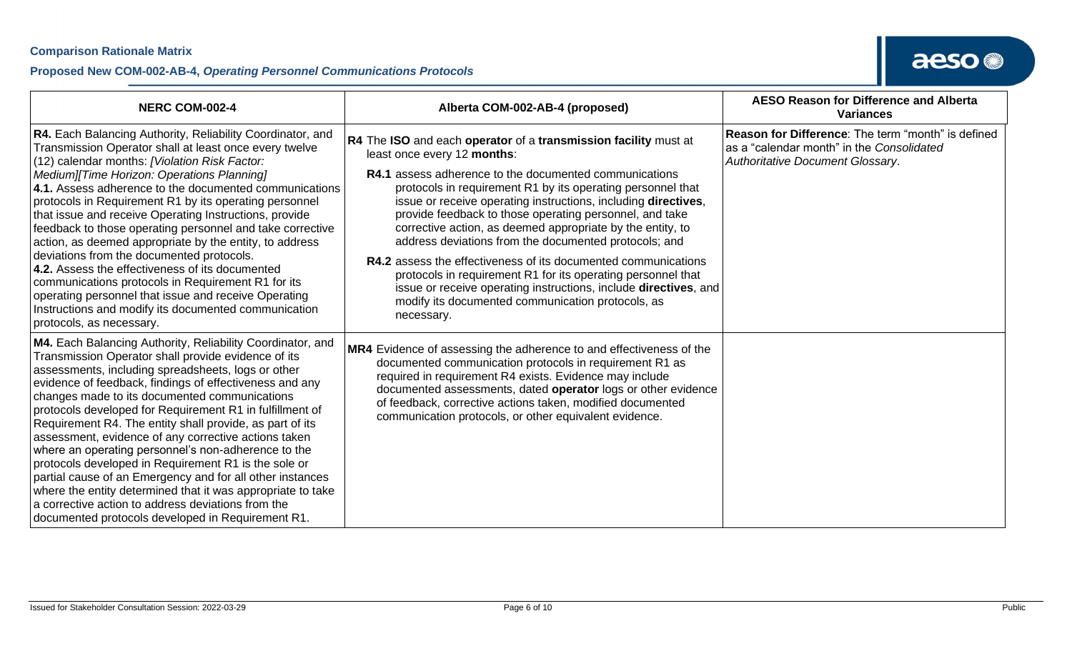#### **Proposed New COM-002-AB-4,** *Operating Personnel Communications Protocols*

| <b>NERC COM-002-4</b>                                                                                                                                                                                                                                                                                                                                                                                                                                                                                                                                                                                                                                                                                                                                                                                                       | Alberta COM-002-AB-4 (proposed)                                                                                                                                                                                                                                                                                                                                                                                                                                                                                                                                                                                                                                                                                                                                    | <b>AESO Reason for Difference and Alberta</b><br><b>Variances</b>                                                                   |
|-----------------------------------------------------------------------------------------------------------------------------------------------------------------------------------------------------------------------------------------------------------------------------------------------------------------------------------------------------------------------------------------------------------------------------------------------------------------------------------------------------------------------------------------------------------------------------------------------------------------------------------------------------------------------------------------------------------------------------------------------------------------------------------------------------------------------------|--------------------------------------------------------------------------------------------------------------------------------------------------------------------------------------------------------------------------------------------------------------------------------------------------------------------------------------------------------------------------------------------------------------------------------------------------------------------------------------------------------------------------------------------------------------------------------------------------------------------------------------------------------------------------------------------------------------------------------------------------------------------|-------------------------------------------------------------------------------------------------------------------------------------|
| R4. Each Balancing Authority, Reliability Coordinator, and<br>Transmission Operator shall at least once every twelve<br>(12) calendar months: [Violation Risk Factor:<br>Medium][Time Horizon: Operations Planning]<br>4.1. Assess adherence to the documented communications<br>protocols in Requirement R1 by its operating personnel<br>that issue and receive Operating Instructions, provide<br>feedback to those operating personnel and take corrective<br>action, as deemed appropriate by the entity, to address<br>deviations from the documented protocols.<br>4.2. Assess the effectiveness of its documented<br>communications protocols in Requirement R1 for its<br>operating personnel that issue and receive Operating<br>Instructions and modify its documented communication<br>protocols, as necessary. | R4 The ISO and each operator of a transmission facility must at<br>least once every 12 months:<br><b>R4.1</b> assess adherence to the documented communications<br>protocols in requirement R1 by its operating personnel that<br>issue or receive operating instructions, including directives,<br>provide feedback to those operating personnel, and take<br>corrective action, as deemed appropriate by the entity, to<br>address deviations from the documented protocols; and<br><b>R4.2</b> assess the effectiveness of its documented communications<br>protocols in requirement R1 for its operating personnel that<br>issue or receive operating instructions, include directives, and<br>modify its documented communication protocols, as<br>necessary. | Reason for Difference: The term "month" is defined<br>as a "calendar month" in the Consolidated<br>Authoritative Document Glossary. |
| M4. Each Balancing Authority, Reliability Coordinator, and<br>Transmission Operator shall provide evidence of its<br>assessments, including spreadsheets, logs or other<br>evidence of feedback, findings of effectiveness and any<br>changes made to its documented communications<br>protocols developed for Requirement R1 in fulfillment of<br>Requirement R4. The entity shall provide, as part of its<br>assessment, evidence of any corrective actions taken<br>where an operating personnel's non-adherence to the<br>protocols developed in Requirement R1 is the sole or<br>partial cause of an Emergency and for all other instances<br>where the entity determined that it was appropriate to take<br>a corrective action to address deviations from the<br>documented protocols developed in Requirement R1.   | MR4 Evidence of assessing the adherence to and effectiveness of the<br>documented communication protocols in requirement R1 as<br>required in requirement R4 exists. Evidence may include<br>documented assessments, dated operator logs or other evidence<br>of feedback, corrective actions taken, modified documented<br>communication protocols, or other equivalent evidence.                                                                                                                                                                                                                                                                                                                                                                                 |                                                                                                                                     |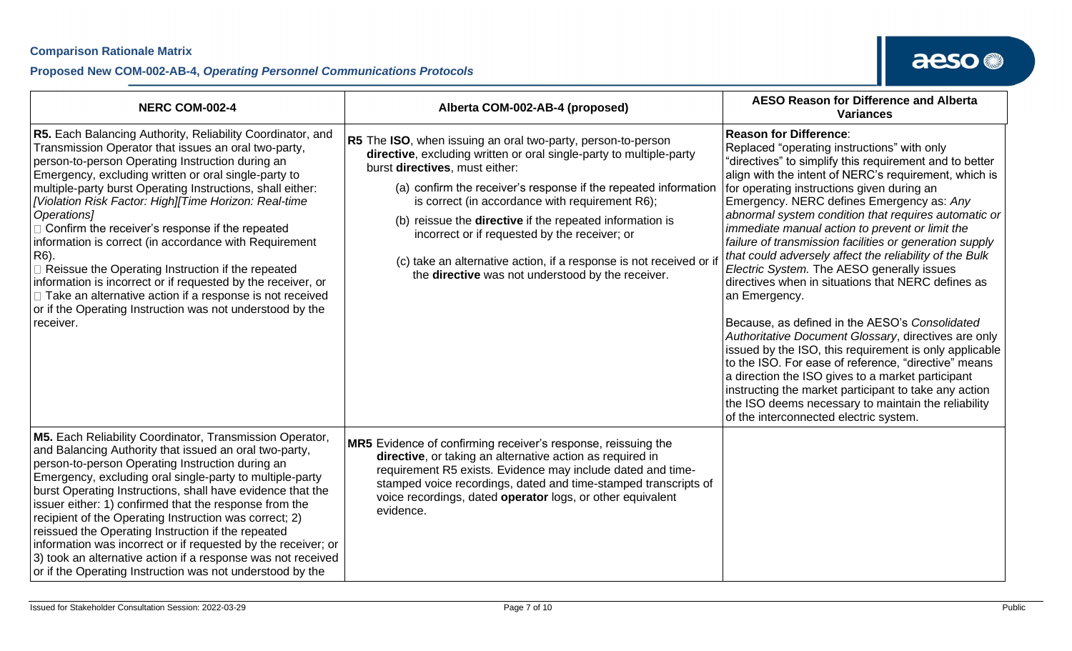| <b>NERC COM-002-4</b>                                                                                                                                                                                                                                                                                                                                                                                                                                                                                                                                                                                                                                                                                                                                      | Alberta COM-002-AB-4 (proposed)                                                                                                                                                                                                                                                                                                                                                                                                                                                                                                             | <b>AESO Reason for Difference and Alberta</b><br><b>Variances</b>                                                                                                                                                                                                                                                                                                                                                                                                                                                                                                                                                                                                                                                                                                                                                                                                                                                                                                                                                                                                                            |
|------------------------------------------------------------------------------------------------------------------------------------------------------------------------------------------------------------------------------------------------------------------------------------------------------------------------------------------------------------------------------------------------------------------------------------------------------------------------------------------------------------------------------------------------------------------------------------------------------------------------------------------------------------------------------------------------------------------------------------------------------------|---------------------------------------------------------------------------------------------------------------------------------------------------------------------------------------------------------------------------------------------------------------------------------------------------------------------------------------------------------------------------------------------------------------------------------------------------------------------------------------------------------------------------------------------|----------------------------------------------------------------------------------------------------------------------------------------------------------------------------------------------------------------------------------------------------------------------------------------------------------------------------------------------------------------------------------------------------------------------------------------------------------------------------------------------------------------------------------------------------------------------------------------------------------------------------------------------------------------------------------------------------------------------------------------------------------------------------------------------------------------------------------------------------------------------------------------------------------------------------------------------------------------------------------------------------------------------------------------------------------------------------------------------|
| R5. Each Balancing Authority, Reliability Coordinator, and<br>Transmission Operator that issues an oral two-party,<br>person-to-person Operating Instruction during an<br>Emergency, excluding written or oral single-party to<br>multiple-party burst Operating Instructions, shall either:<br>[Violation Risk Factor: High][Time Horizon: Real-time<br>Operations]<br>□ Confirm the receiver's response if the repeated<br>information is correct (in accordance with Requirement<br>R6).<br>□ Reissue the Operating Instruction if the repeated<br>information is incorrect or if requested by the receiver, or<br>□ Take an alternative action if a response is not received<br>or if the Operating Instruction was not understood by the<br>receiver. | R5 The ISO, when issuing an oral two-party, person-to-person<br>directive, excluding written or oral single-party to multiple-party<br>burst directives, must either:<br>(a) confirm the receiver's response if the repeated information<br>is correct (in accordance with requirement R6);<br>(b) reissue the <b>directive</b> if the repeated information is<br>incorrect or if requested by the receiver; or<br>(c) take an alternative action, if a response is not received or if<br>the directive was not understood by the receiver. | <b>Reason for Difference:</b><br>Replaced "operating instructions" with only<br>"directives" to simplify this requirement and to better<br>align with the intent of NERC's requirement, which is<br>for operating instructions given during an<br>Emergency. NERC defines Emergency as: Any<br>abnormal system condition that requires automatic or<br>immediate manual action to prevent or limit the<br>failure of transmission facilities or generation supply<br>that could adversely affect the reliability of the Bulk<br>Electric System. The AESO generally issues<br>directives when in situations that NERC defines as<br>an Emergency.<br>Because, as defined in the AESO's Consolidated<br>Authoritative Document Glossary, directives are only<br>issued by the ISO, this requirement is only applicable<br>to the ISO. For ease of reference, "directive" means<br>a direction the ISO gives to a market participant<br>instructing the market participant to take any action<br>the ISO deems necessary to maintain the reliability<br>of the interconnected electric system. |
| M5. Each Reliability Coordinator, Transmission Operator,<br>and Balancing Authority that issued an oral two-party,<br>person-to-person Operating Instruction during an<br>Emergency, excluding oral single-party to multiple-party<br>burst Operating Instructions, shall have evidence that the<br>issuer either: 1) confirmed that the response from the<br>recipient of the Operating Instruction was correct; 2)<br>reissued the Operating Instruction if the repeated<br>information was incorrect or if requested by the receiver; or<br>3) took an alternative action if a response was not received<br>or if the Operating Instruction was not understood by the                                                                                   | MR5 Evidence of confirming receiver's response, reissuing the<br>directive, or taking an alternative action as required in<br>requirement R5 exists. Evidence may include dated and time-<br>stamped voice recordings, dated and time-stamped transcripts of<br>voice recordings, dated operator logs, or other equivalent<br>evidence.                                                                                                                                                                                                     |                                                                                                                                                                                                                                                                                                                                                                                                                                                                                                                                                                                                                                                                                                                                                                                                                                                                                                                                                                                                                                                                                              |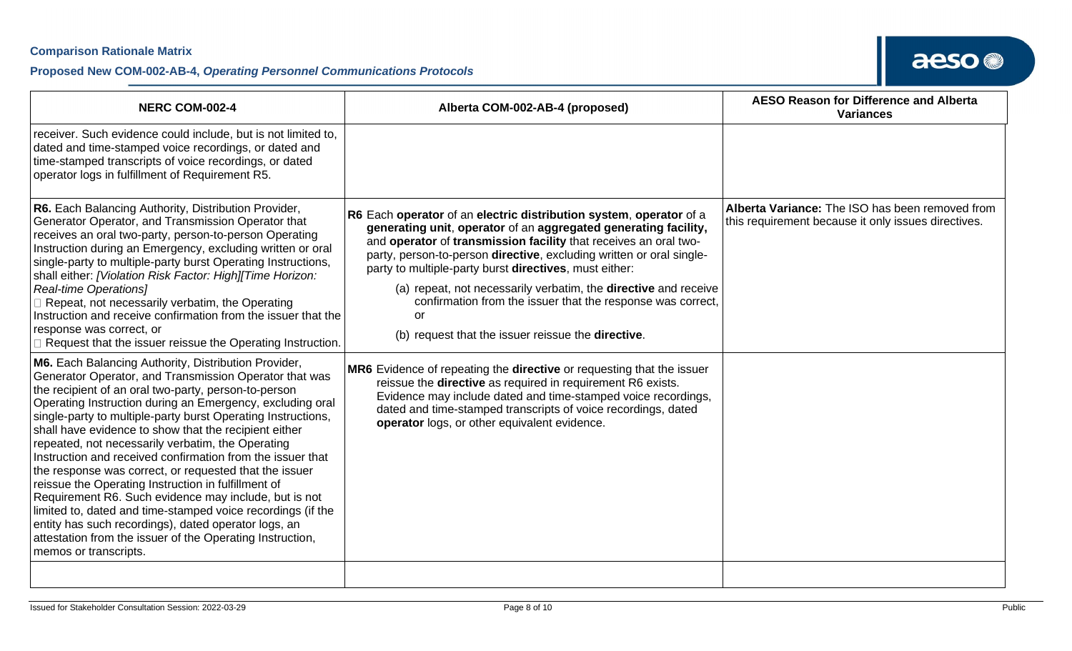| <b>NERC COM-002-4</b>                                                                                                                                                                                                                                                                                                                                                                                                                                                                                                                                                                                                                                                                                                                                                                                          | Alberta COM-002-AB-4 (proposed)                                                                                                                                                                                                                                                                                                                                                                                                                                                                                                                                                                                                  | <b>AESO Reason for Difference and Alberta</b><br><b>Variances</b>                                      |
|----------------------------------------------------------------------------------------------------------------------------------------------------------------------------------------------------------------------------------------------------------------------------------------------------------------------------------------------------------------------------------------------------------------------------------------------------------------------------------------------------------------------------------------------------------------------------------------------------------------------------------------------------------------------------------------------------------------------------------------------------------------------------------------------------------------|----------------------------------------------------------------------------------------------------------------------------------------------------------------------------------------------------------------------------------------------------------------------------------------------------------------------------------------------------------------------------------------------------------------------------------------------------------------------------------------------------------------------------------------------------------------------------------------------------------------------------------|--------------------------------------------------------------------------------------------------------|
| receiver. Such evidence could include, but is not limited to,<br>dated and time-stamped voice recordings, or dated and<br>time-stamped transcripts of voice recordings, or dated<br>operator logs in fulfillment of Requirement R5.                                                                                                                                                                                                                                                                                                                                                                                                                                                                                                                                                                            |                                                                                                                                                                                                                                                                                                                                                                                                                                                                                                                                                                                                                                  |                                                                                                        |
| R6. Each Balancing Authority, Distribution Provider,<br>Generator Operator, and Transmission Operator that<br>receives an oral two-party, person-to-person Operating<br>Instruction during an Emergency, excluding written or oral<br>single-party to multiple-party burst Operating Instructions,<br>shall either: [Violation Risk Factor: High][Time Horizon:<br><b>Real-time Operations</b> ]<br>Repeat, not necessarily verbatim, the Operating<br>Instruction and receive confirmation from the issuer that the<br>response was correct, or<br>Request that the issuer reissue the Operating Instruction.<br>M6. Each Balancing Authority, Distribution Provider,                                                                                                                                         | R6 Each operator of an electric distribution system, operator of a<br>generating unit, operator of an aggregated generating facility,<br>and operator of transmission facility that receives an oral two-<br>party, person-to-person directive, excluding written or oral single-<br>party to multiple-party burst directives, must either:<br>(a) repeat, not necessarily verbatim, the <b>directive</b> and receive<br>confirmation from the issuer that the response was correct,<br>or<br>(b) request that the issuer reissue the directive.<br>MR6 Evidence of repeating the <b>directive</b> or requesting that the issuer | Alberta Variance: The ISO has been removed from<br>this requirement because it only issues directives. |
| Generator Operator, and Transmission Operator that was<br>the recipient of an oral two-party, person-to-person<br>Operating Instruction during an Emergency, excluding oral<br>single-party to multiple-party burst Operating Instructions,<br>shall have evidence to show that the recipient either<br>repeated, not necessarily verbatim, the Operating<br>Instruction and received confirmation from the issuer that<br>the response was correct, or requested that the issuer<br>reissue the Operating Instruction in fulfillment of<br>Requirement R6. Such evidence may include, but is not<br>limited to, dated and time-stamped voice recordings (if the<br>entity has such recordings), dated operator logs, an<br>attestation from the issuer of the Operating Instruction,<br>memos or transcripts. | reissue the directive as required in requirement R6 exists.<br>Evidence may include dated and time-stamped voice recordings,<br>dated and time-stamped transcripts of voice recordings, dated<br>operator logs, or other equivalent evidence.                                                                                                                                                                                                                                                                                                                                                                                    |                                                                                                        |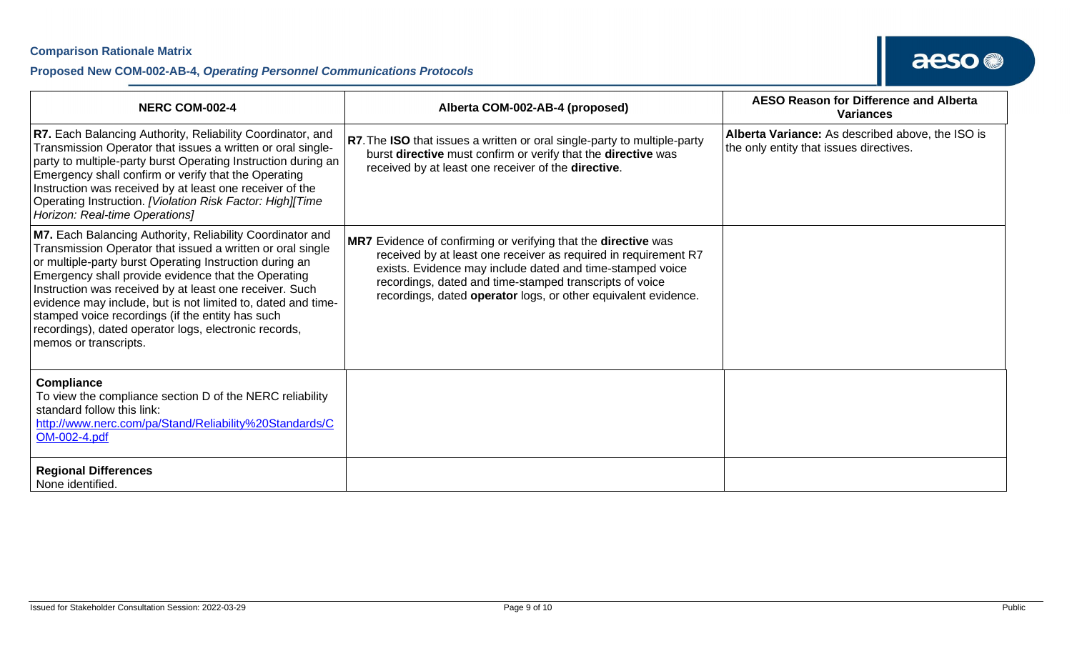#### **Proposed New COM-002-AB-4,** *Operating Personnel Communications Protocols*

| <b>NERC COM-002-4</b>                                                                                                                                                                                                                                                                                                                                                                                                                                                                                      | Alberta COM-002-AB-4 (proposed)                                                                                                                                                                                                                                                                                             | <b>AESO Reason for Difference and Alberta</b><br><b>Variances</b>                           |
|------------------------------------------------------------------------------------------------------------------------------------------------------------------------------------------------------------------------------------------------------------------------------------------------------------------------------------------------------------------------------------------------------------------------------------------------------------------------------------------------------------|-----------------------------------------------------------------------------------------------------------------------------------------------------------------------------------------------------------------------------------------------------------------------------------------------------------------------------|---------------------------------------------------------------------------------------------|
| R7. Each Balancing Authority, Reliability Coordinator, and<br>Transmission Operator that issues a written or oral single-<br>party to multiple-party burst Operating Instruction during an<br>Emergency shall confirm or verify that the Operating<br>Instruction was received by at least one receiver of the<br>Operating Instruction. [Violation Risk Factor: High][Time<br>Horizon: Real-time Operations]                                                                                              | R7. The ISO that issues a written or oral single-party to multiple-party<br>burst directive must confirm or verify that the directive was<br>received by at least one receiver of the directive.                                                                                                                            | Alberta Variance: As described above, the ISO is<br>the only entity that issues directives. |
| M7. Each Balancing Authority, Reliability Coordinator and<br>Transmission Operator that issued a written or oral single<br>or multiple-party burst Operating Instruction during an<br>Emergency shall provide evidence that the Operating<br>Instruction was received by at least one receiver. Such<br>evidence may include, but is not limited to, dated and time-<br>stamped voice recordings (if the entity has such<br>recordings), dated operator logs, electronic records,<br>memos or transcripts. | MR7 Evidence of confirming or verifying that the directive was<br>received by at least one receiver as required in requirement R7<br>exists. Evidence may include dated and time-stamped voice<br>recordings, dated and time-stamped transcripts of voice<br>recordings, dated operator logs, or other equivalent evidence. |                                                                                             |
| <b>Compliance</b><br>To view the compliance section D of the NERC reliability<br>standard follow this link:<br>http://www.nerc.com/pa/Stand/Reliability%20Standards/C<br>OM-002-4.pdf                                                                                                                                                                                                                                                                                                                      |                                                                                                                                                                                                                                                                                                                             |                                                                                             |
| <b>Regional Differences</b><br>None identified.                                                                                                                                                                                                                                                                                                                                                                                                                                                            |                                                                                                                                                                                                                                                                                                                             |                                                                                             |